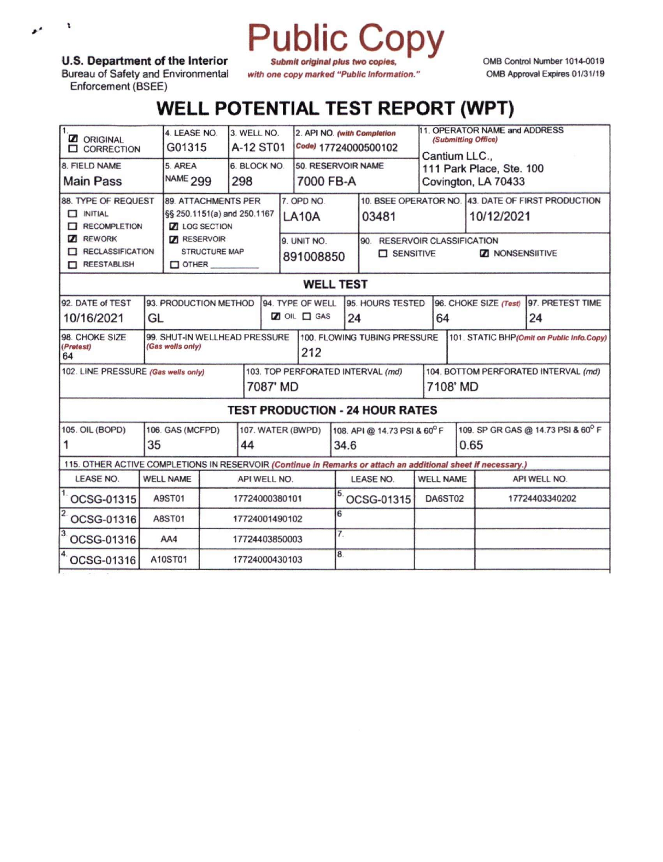## Public Copy *Submit original plus two copies,*

**U.S. Department of the Interior**

 $\pmb{\cdot}$ 

 $\boldsymbol{r}^{\prime}$ 

Bureau of Safety and Environmental Enforcement (BSEE)

OMB Control Number 1014-0019 OMB Approval Expires 01/31/19

## **WELL POTENTIAL TEST REPORT (WPT)**

*with one copy marked "Public Information."*

| <b>Z</b> ORIGINAL<br><b>CORRECTION</b>                                                                       |                       | 4. LEASE NO.<br>3. WELL NO.<br>G01315<br>A-12 ST01  |     |                                   |                    |                    | 2. API NO. (with Completion<br>Code) 17724000500102 |                              | 11. OPERATOR NAME and ADDRESS<br>(Submitting Office)<br>Cantium LLC., |                                            |                                                    |                                        |  |
|--------------------------------------------------------------------------------------------------------------|-----------------------|-----------------------------------------------------|-----|-----------------------------------|--------------------|--------------------|-----------------------------------------------------|------------------------------|-----------------------------------------------------------------------|--------------------------------------------|----------------------------------------------------|----------------------------------------|--|
| 8. FIELD NAME                                                                                                | 5. AREA               |                                                     |     | 6. BLOCK NO.                      |                    | 50. RESERVOIR NAME |                                                     |                              | 111 Park Place, Ste. 100                                              |                                            |                                                    |                                        |  |
| <b>Main Pass</b>                                                                                             |                       | NAME <sub>299</sub><br>298                          |     |                                   | 7000 FB-A          |                    |                                                     |                              |                                                                       | Covington, LA 70433                        |                                                    |                                        |  |
| <b>88. TYPE OF REQUEST</b>                                                                                   |                       | <b>89. ATTACHMENTS PER</b>                          |     |                                   | 7. OPD NO.         |                    |                                                     |                              |                                                                       |                                            | 10. BSEE OPERATOR NO. 43. DATE OF FIRST PRODUCTION |                                        |  |
| $\Box$ INITIAL<br>RECOMPLETION                                                                               |                       | §§ 250.1151(a) and 250.1167<br><b>Z</b> LOG SECTION |     |                                   | LA <sub>10</sub> A |                    | 03481                                               |                              |                                                                       |                                            | 10/12/2021                                         |                                        |  |
| <b>Z REWORK</b>                                                                                              |                       | <b>7</b> RESERVOIR                                  |     |                                   | 9. UNIT NO.        |                    |                                                     | 90. RESERVOIR CLASSIFICATION |                                                                       |                                            |                                                    |                                        |  |
| RECLASSIFICATION                                                                                             |                       | STRUCTURE MAP                                       |     |                                   | 891008850          |                    | <b>D</b> SENSITIVE                                  |                              |                                                                       |                                            | <b>ZI NONSENSIITIVE</b>                            |                                        |  |
| REESTABLISH                                                                                                  |                       | $\Box$ OTHER                                        |     |                                   |                    |                    |                                                     |                              |                                                                       |                                            |                                                    |                                        |  |
| <b>WELL TEST</b>                                                                                             |                       |                                                     |     |                                   |                    |                    |                                                     |                              |                                                                       |                                            |                                                    |                                        |  |
| 92. DATE of TEST                                                                                             | 93. PRODUCTION METHOD |                                                     |     |                                   | 94. TYPE OF WELL   |                    |                                                     | 95. HOURS TESTED             |                                                                       |                                            |                                                    | 96. CHOKE SIZE (Test) 97. PRETEST TIME |  |
| 10/16/2021                                                                                                   | GL                    |                                                     |     |                                   | OIL GAS            |                    |                                                     | 24                           |                                                                       | 64                                         |                                                    | 24                                     |  |
| 99. SHUT-IN WELLHEAD PRESSURE<br>98. CHOKE SIZE                                                              |                       |                                                     |     |                                   |                    |                    | 100. FLOWING TUBING PRESSURE                        |                              |                                                                       | 101. STATIC BHP (Omit on Public Info.Copy) |                                                    |                                        |  |
| (Pretest)<br>(Gas wells only)<br>64                                                                          |                       |                                                     | 212 |                                   |                    |                    |                                                     |                              |                                                                       |                                            |                                                    |                                        |  |
| 102. LINE PRESSURE (Gas wells only)                                                                          |                       |                                                     |     | 103. TOP PERFORATED INTERVAL (md) |                    |                    |                                                     |                              |                                                                       |                                            | 104. BOTTOM PERFORATED INTERVAL (md)               |                                        |  |
|                                                                                                              |                       |                                                     |     | 7087' MD                          |                    |                    |                                                     |                              |                                                                       |                                            | 7108' MD                                           |                                        |  |
| <b>TEST PRODUCTION - 24 HOUR RATES</b>                                                                       |                       |                                                     |     |                                   |                    |                    |                                                     |                              |                                                                       |                                            |                                                    |                                        |  |
| 105. OIL (BOPD)                                                                                              | 106. GAS (MCFPD)      |                                                     |     |                                   | 107. WATER (BWPD)  |                    |                                                     | 108. API @ 14.73 PSI & 60°F  |                                                                       |                                            | 109. SP GR GAS @ 14.73 PSI & 60° F                 |                                        |  |
|                                                                                                              | 35<br>44              |                                                     |     |                                   | 34.6               |                    |                                                     |                              |                                                                       |                                            | 0.65                                               |                                        |  |
| 115. OTHER ACTIVE COMPLETIONS IN RESERVOIR (Continue in Remarks or attach an additional sheet if necessary.) |                       |                                                     |     |                                   |                    |                    |                                                     |                              |                                                                       |                                            |                                                    |                                        |  |
| <b>LEASE NO.</b>                                                                                             | <b>WELL NAME</b>      | API WELL NO.                                        |     |                                   |                    |                    | <b>LEASE NO.</b>                                    |                              | <b>WELL NAME</b>                                                      |                                            | API WELL NO.                                       |                                        |  |
| OCSG-01315                                                                                                   | A9ST01                | 17724000380101                                      |     |                                   |                    |                    |                                                     | OCSG-01315                   |                                                                       | DA6ST02                                    |                                                    | 17724403340202                         |  |
| OCSG-01316                                                                                                   | <b>A8ST01</b>         | 17724001490102                                      |     |                                   |                    | 6                  |                                                     |                              |                                                                       |                                            |                                                    |                                        |  |
| $\overline{3}$<br>OCSG-01316                                                                                 | AA4                   | 17724403850003                                      |     |                                   |                    |                    | $\overline{7}$ .                                    |                              |                                                                       |                                            |                                                    |                                        |  |
| OCSG-01316                                                                                                   | A10ST01               | 17724000430103                                      |     |                                   |                    |                    | 8.                                                  |                              |                                                                       |                                            |                                                    |                                        |  |